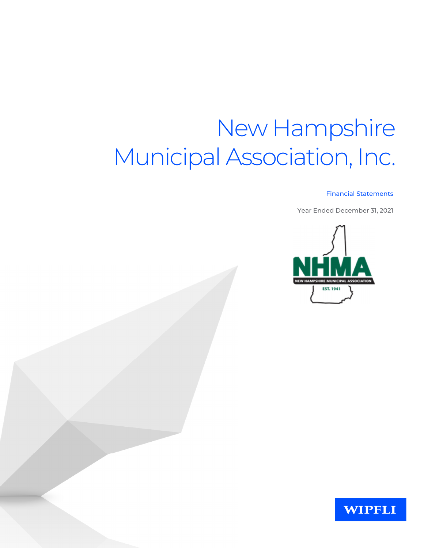#### Financial Statements

Year Ended December 31, 2021



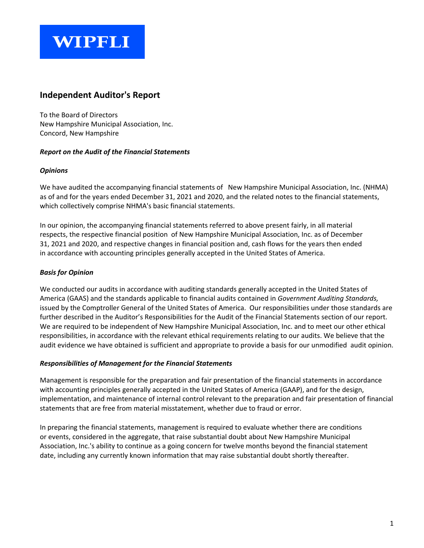# **WIPFLI**

#### **Independent Auditor's Report**

To the Board of Directors New Hampshire Municipal Association, Inc. Concord, New Hampshire

#### *Report on the Audit of the Financial Statements*

#### *Opinions*

We have audited the accompanying financial statements of New Hampshire Municipal Association, Inc. (NHMA) as of and for the years ended December 31, 2021 and 2020, and the related notes to the financial statements, which collectively comprise NHMA's basic financial statements.

In our opinion, the accompanying financial statements referred to above present fairly, in all material respects, the respective financial position of New Hampshire Municipal Association, Inc. as of December 31, 2021 and 2020, and respective changes in financial position and, cash flows for the years then ended in accordance with accounting principles generally accepted in the United States of America.

#### *Basis for Opinion*

We conducted our audits in accordance with auditing standards generally accepted in the United States of America (GAAS) and the standards applicable to financial audits contained in *Government Auditing Standards,* issued by the Comptroller General of the United States of America. Our responsibilities under those standards are further described in the Auditor's Responsibilities for the Audit of the Financial Statements section of our report. We are required to be independent of New Hampshire Municipal Association, Inc. and to meet our other ethical responsibilities, in accordance with the relevant ethical requirements relating to our audits. We believe that the audit evidence we have obtained is sufficient and appropriate to provide a basis for our unmodified audit opinion.

#### *Responsibilities of Management for the Financial Statements*

Management is responsible for the preparation and fair presentation of the financial statements in accordance with accounting principles generally accepted in the United States of America (GAAP), and for the design, implementation, and maintenance of internal control relevant to the preparation and fair presentation of financial statements that are free from material misstatement, whether due to fraud or error.

In preparing the financial statements, management is required to evaluate whether there are conditions or events, considered in the aggregate, that raise substantial doubt about New Hampshire Municipal Association, Inc.'s ability to continue as a going concern for twelve months beyond the financial statement date, including any currently known information that may raise substantial doubt shortly thereafter.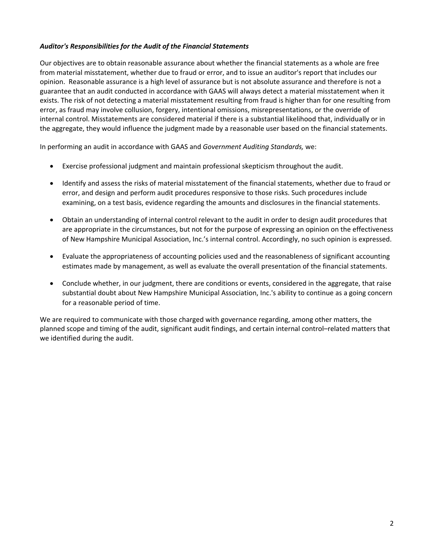#### *Auditor's Responsibilities for the Audit of the Financial Statements*

Our objectives are to obtain reasonable assurance about whether the financial statements as a whole are free from material misstatement, whether due to fraud or error, and to issue an auditor's report that includes our opinion. Reasonable assurance is a high level of assurance but is not absolute assurance and therefore is not a guarantee that an audit conducted in accordance with GAAS will always detect a material misstatement when it exists. The risk of not detecting a material misstatement resulting from fraud is higher than for one resulting from error, as fraud may involve collusion, forgery, intentional omissions, misrepresentations, or the override of internal control. Misstatements are considered material if there is a substantial likelihood that, individually or in the aggregate, they would influence the judgment made by a reasonable user based on the financial statements.

In performing an audit in accordance with GAAS and *Government Auditing Standards,* we:

- Exercise professional judgment and maintain professional skepticism throughout the audit.
- Identify and assess the risks of material misstatement of the financial statements, whether due to fraud or error, and design and perform audit procedures responsive to those risks. Such procedures include examining, on a test basis, evidence regarding the amounts and disclosures in the financial statements.
- Obtain an understanding of internal control relevant to the audit in order to design audit procedures that are appropriate in the circumstances, but not for the purpose of expressing an opinion on the effectiveness of New Hampshire Municipal Association, Inc.'s internal control. Accordingly, no such opinion is expressed.
- Evaluate the appropriateness of accounting policies used and the reasonableness of significant accounting estimates made by management, as well as evaluate the overall presentation of the financial statements.
- Conclude whether, in our judgment, there are conditions or events, considered in the aggregate, that raise substantial doubt about New Hampshire Municipal Association, Inc.'s ability to continue as a going concern for a reasonable period of time.

We are required to communicate with those charged with governance regarding, among other matters, the planned scope and timing of the audit, significant audit findings, and certain internal control–related matters that we identified during the audit.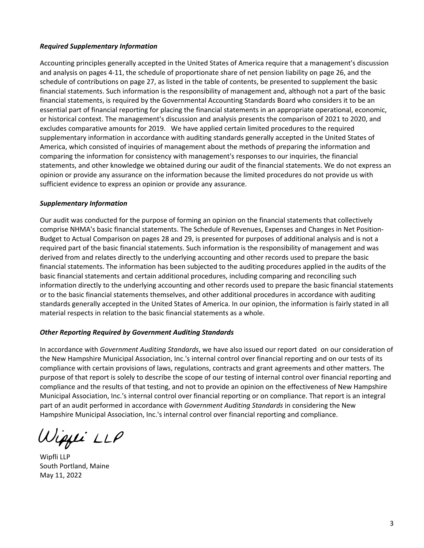#### *Required Supplementary Information*

Accounting principles generally accepted in the United States of America require that a management's discussion and analysis on pages 4-11, the schedule of proportionate share of net pension liability on page 26, and the schedule of contributions on page 27, as listed in the table of contents, be presented to supplement the basic financial statements. Such information is the responsibility of management and, although not a part of the basic financial statements, is required by the Governmental Accounting Standards Board who considers it to be an essential part of financial reporting for placing the financial statements in an appropriate operational, economic, or historical context. The management's discussion and analysis presents the comparison of 2021 to 2020, and excludes comparative amounts for 2019. We have applied certain limited procedures to the required supplementary information in accordance with auditing standards generally accepted in the United States of America, which consisted of inquiries of management about the methods of preparing the information and comparing the information for consistency with management's responses to our inquiries, the financial statements, and other knowledge we obtained during our audit of the financial statements. We do not express an opinion or provide any assurance on the information because the limited procedures do not provide us with sufficient evidence to express an opinion or provide any assurance.

#### *Supplementary Information*

Our audit was conducted for the purpose of forming an opinion on the financial statements that collectively comprise NHMA's basic financial statements. The Schedule of Revenues, Expenses and Changes in Net Position-Budget to Actual Comparison on pages 28 and 29, is presented for purposes of additional analysis and is not a required part of the basic financial statements. Such information is the responsibility of management and was derived from and relates directly to the underlying accounting and other records used to prepare the basic financial statements. The information has been subjected to the auditing procedures applied in the audits of the basic financial statements and certain additional procedures, including comparing and reconciling such information directly to the underlying accounting and other records used to prepare the basic financial statements or to the basic financial statements themselves, and other additional procedures in accordance with auditing standards generally accepted in the United States of America. In our opinion, the information is fairly stated in all material respects in relation to the basic financial statements as a whole.

#### *Other Reporting Required by Government Auditing Standards*

In accordance with *Government Auditing Standards*, we have also issued our report dated on our consideration of the New Hampshire Municipal Association, Inc.'s internal control over financial reporting and on our tests of its compliance with certain provisions of laws, regulations, contracts and grant agreements and other matters. The purpose of that report is solely to describe the scope of our testing of internal control over financial reporting and compliance and the results of that testing, and not to provide an opinion on the effectiveness of New Hampshire Municipal Association, Inc.'s internal control over financial reporting or on compliance. That report is an integral part of an audit performed in accordance with *Government Auditing Standards* in considering the New Hampshire Municipal Association, Inc.'s internal control over financial reporting and compliance.

Wiggii LLP

Wipfli LLP South Portland, Maine May 11, 2022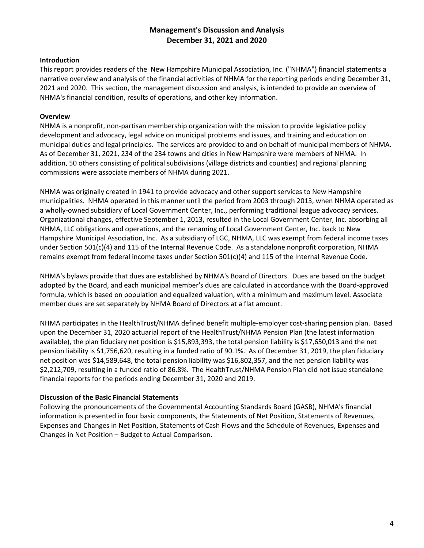#### **Introduction**

This report provides readers of the New Hampshire Municipal Association, Inc. ("NHMA") financial statements a narrative overview and analysis of the financial activities of NHMA for the reporting periods ending December 31, 2021 and 2020. This section, the management discussion and analysis, is intended to provide an overview of NHMA's financial condition, results of operations, and other key information.

#### **Overview**

NHMA is a nonprofit, non-partisan membership organization with the mission to provide legislative policy development and advocacy, legal advice on municipal problems and issues, and training and education on municipal duties and legal principles. The services are provided to and on behalf of municipal members of NHMA. As of December 31, 2021, 234 of the 234 towns and cities in New Hampshire were members of NHMA. In addition, 50 others consisting of political subdivisions (village districts and counties) and regional planning commissions were associate members of NHMA during 2021.

NHMA was originally created in 1941 to provide advocacy and other support services to New Hampshire municipalities. NHMA operated in this manner until the period from 2003 through 2013, when NHMA operated as a wholly-owned subsidiary of Local Government Center, Inc., performing traditional league advocacy services. Organizational changes, effective September 1, 2013, resulted in the Local Government Center, Inc. absorbing all NHMA, LLC obligations and operations, and the renaming of Local Government Center, Inc. back to New Hampshire Municipal Association, Inc. As a subsidiary of LGC, NHMA, LLC was exempt from federal income taxes under Section 501(c)(4) and 115 of the Internal Revenue Code. As a standalone nonprofit corporation, NHMA remains exempt from federal income taxes under Section 501(c)(4) and 115 of the Internal Revenue Code.

NHMA's bylaws provide that dues are established by NHMA's Board of Directors. Dues are based on the budget adopted by the Board, and each municipal member's dues are calculated in accordance with the Board-approved formula, which is based on population and equalized valuation, with a minimum and maximum level. Associate member dues are set separately by NHMA Board of Directors at a flat amount.

NHMA participates in the HealthTrust/NHMA defined benefit multiple-employer cost-sharing pension plan. Based upon the December 31, 2020 actuarial report of the HealthTrust/NHMA Pension Plan (the latest information available), the plan fiduciary net position is \$15,893,393, the total pension liability is \$17,650,013 and the net pension liability is \$1,756,620, resulting in a funded ratio of 90.1%. As of December 31, 2019, the plan fiduciary net position was \$14,589,648, the total pension liability was \$16,802,357, and the net pension liability was \$2,212,709, resulting in a funded ratio of 86.8%. The HealthTrust/NHMA Pension Plan did not issue standalone financial reports for the periods ending December 31, 2020 and 2019.

#### **Discussion of the Basic Financial Statements**

Following the pronouncements of the Governmental Accounting Standards Board (GASB), NHMA's financial information is presented in four basic components, the Statements of Net Position, Statements of Revenues, Expenses and Changes in Net Position, Statements of Cash Flows and the Schedule of Revenues, Expenses and Changes in Net Position – Budget to Actual Comparison.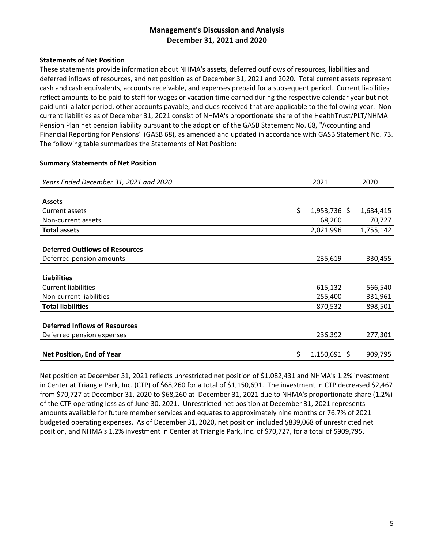#### **Statements of Net Position**

These statements provide information about NHMA's assets, deferred outflows of resources, liabilities and deferred inflows of resources, and net position as of December 31, 2021 and 2020. Total current assets represent cash and cash equivalents, accounts receivable, and expenses prepaid for a subsequent period. Current liabilities reflect amounts to be paid to staff for wages or vacation time earned during the respective calendar year but not paid until a later period, other accounts payable, and dues received that are applicable to the following year. Noncurrent liabilities as of December 31, 2021 consist of NHMA's proportionate share of the HealthTrust/PLT/NHMA Pension Plan net pension liability pursuant to the adoption of the GASB Statement No. 68, "Accounting and Financial Reporting for Pensions" (GASB 68), as amended and updated in accordance with GASB Statement No. 73. The following table summarizes the Statements of Net Position:

| Years Ended December 31, 2021 and 2020 | 2021                 | 2020      |
|----------------------------------------|----------------------|-----------|
|                                        |                      |           |
| <b>Assets</b>                          |                      |           |
| Current assets                         | \$<br>$1,953,736$ \$ | 1,684,415 |
| Non-current assets                     | 68,260               | 70,727    |
| <b>Total assets</b>                    | 2,021,996            | 1,755,142 |
|                                        |                      |           |
| <b>Deferred Outflows of Resources</b>  |                      |           |
| Deferred pension amounts               | 235,619              | 330,455   |
|                                        |                      |           |
| <b>Liabilities</b>                     |                      |           |
| <b>Current liabilities</b>             | 615,132              | 566,540   |
| Non-current liabilities                | 255,400              | 331,961   |
| <b>Total liabilities</b>               | 870,532              | 898,501   |
|                                        |                      |           |
| <b>Deferred Inflows of Resources</b>   |                      |           |
| Deferred pension expenses              | 236,392              | 277,301   |
|                                        |                      |           |
| <b>Net Position, End of Year</b>       | \$<br>1,150,691 \$   | 909,795   |

#### **Summary Statements of Net Position**

Net position at December 31, 2021 reflects unrestricted net position of \$1,082,431 and NHMA's 1.2% investment in Center at Triangle Park, Inc. (CTP) of \$68,260 for a total of \$1,150,691. The investment in CTP decreased \$2,467 from \$70,727 at December 31, 2020 to \$68,260 at December 31, 2021 due to NHMA's proportionate share (1.2%) of the CTP operating loss as of June 30, 2021. Unrestricted net position at December 31, 2021 represents amounts available for future member services and equates to approximately nine months or 76.7% of 2021 budgeted operating expenses. As of December 31, 2020, net position included \$839,068 of unrestricted net position, and NHMA's 1.2% investment in Center at Triangle Park, Inc. of \$70,727, for a total of \$909,795.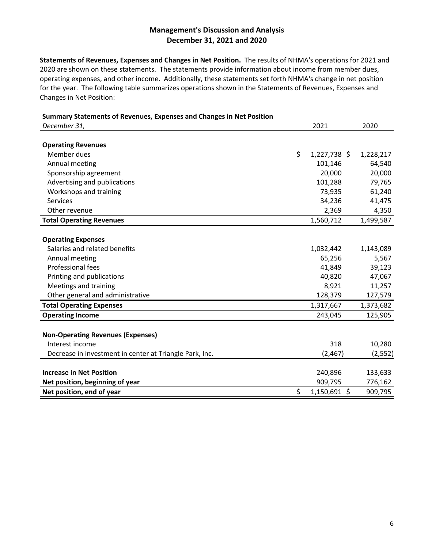**Statements of Revenues, Expenses and Changes in Net Position.** The results of NHMA's operations for 2021 and 2020 are shown on these statements. The statements provide information about income from member dues, operating expenses, and other income. Additionally, these statements set forth NHMA's change in net position for the year. The following table summarizes operations shown in the Statements of Revenues, Expenses and Changes in Net Position:

#### **Summary Statements of Revenues, Expenses and Changes in Net Position**

| 2020                      |
|---------------------------|
|                           |
|                           |
| 1,227,738 \$<br>1,228,217 |
| 64,540                    |
| 20,000                    |
| 79,765                    |
| 61,240                    |
| 41,475                    |
| 4,350                     |
| 1,499,587                 |
|                           |
|                           |
| 1,143,089                 |
| 5,567                     |
| 39,123                    |
| 47,067                    |
| 11,257                    |
| 127,579                   |
| 1,373,682                 |
| 125,905                   |
|                           |
|                           |
| 10,280                    |
| (2, 552)                  |
| 133,633                   |
| 776,162                   |
| 1,150,691 \$<br>909,795   |
|                           |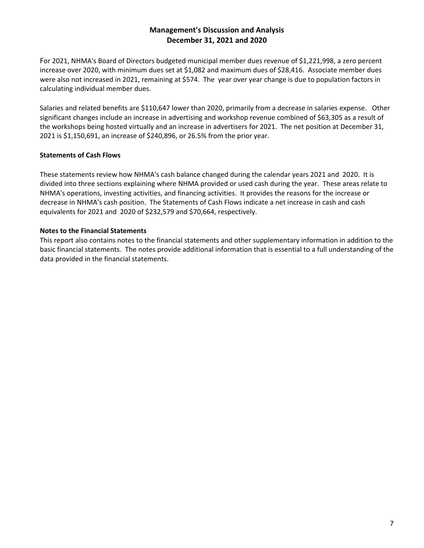For 2021, NHMA's Board of Directors budgeted municipal member dues revenue of \$1,221,998, a zero percent increase over 2020, with minimum dues set at \$1,082 and maximum dues of \$28,416. Associate member dues were also not increased in 2021, remaining at \$574. The year over year change is due to population factors in calculating individual member dues.

Salaries and related benefits are \$110,647 lower than 2020, primarily from a decrease in salaries expense. Other significant changes include an increase in advertising and workshop revenue combined of \$63,305 as a result of the workshops being hosted virtually and an increase in advertisers for 2021. The net position at December 31, 2021 is \$1,150,691, an increase of \$240,896, or 26.5% from the prior year.

#### **Statements of Cash Flows**

These statements review how NHMA's cash balance changed during the calendar years 2021 and 2020. It is divided into three sections explaining where NHMA provided or used cash during the year. These areas relate to NHMA's operations, investing activities, and financing activities. It provides the reasons for the increase or decrease in NHMA's cash position. The Statements of Cash Flows indicate a net increase in cash and cash equivalents for 2021 and 2020 of \$232,579 and \$70,664, respectively.

#### **Notes to the Financial Statements**

This report also contains notes to the financial statements and other supplementary information in addition to the basic financial statements. The notes provide additional information that is essential to a full understanding of the data provided in the financial statements.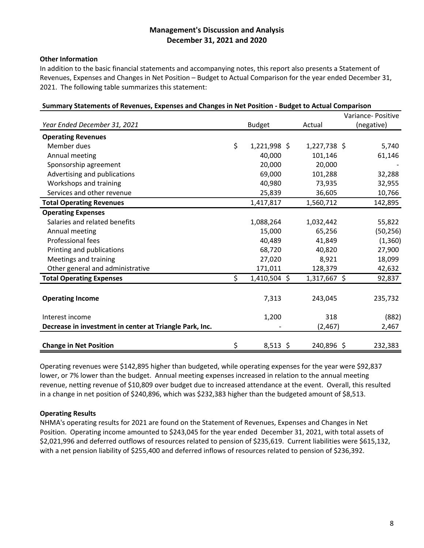#### **Other Information**

In addition to the basic financial statements and accompanying notes, this report also presents a Statement of Revenues, Expenses and Changes in Net Position – Budget to Actual Comparison for the year ended December 31, 2021. The following table summarizes this statement:

| Summary Statements of Revenues, Expenses and Changes in Net Position - Budget to Actual Comparison |                    |              |                    |
|----------------------------------------------------------------------------------------------------|--------------------|--------------|--------------------|
|                                                                                                    |                    |              | Variance- Positive |
| Year Ended December 31, 2021                                                                       | <b>Budget</b>      | Actual       | (negative)         |
| <b>Operating Revenues</b>                                                                          |                    |              |                    |
| Member dues                                                                                        | \$<br>1,221,998 \$ | 1,227,738 \$ | 5,740              |
| Annual meeting                                                                                     | 40,000             | 101,146      | 61,146             |
| Sponsorship agreement                                                                              | 20,000             | 20,000       |                    |
| Advertising and publications                                                                       | 69,000             | 101,288      | 32,288             |
| Workshops and training                                                                             | 40,980             | 73,935       | 32,955             |
| Services and other revenue                                                                         | 25,839             | 36,605       | 10,766             |
| <b>Total Operating Revenues</b>                                                                    | 1,417,817          | 1,560,712    | 142,895            |
| <b>Operating Expenses</b>                                                                          |                    |              |                    |
| Salaries and related benefits                                                                      | 1,088,264          | 1,032,442    | 55,822             |
| Annual meeting                                                                                     | 15,000             | 65,256       | (50, 256)          |
| Professional fees                                                                                  | 40,489             | 41,849       | (1, 360)           |
| Printing and publications                                                                          | 68,720             | 40,820       | 27,900             |
| Meetings and training                                                                              | 27,020             | 8,921        | 18,099             |
| Other general and administrative                                                                   | 171,011            | 128,379      | 42,632             |
| <b>Total Operating Expenses</b>                                                                    | \$<br>1,410,504 \$ | 1,317,667 \$ | 92,837             |
|                                                                                                    |                    |              |                    |
| <b>Operating Income</b>                                                                            | 7,313              | 243,045      | 235,732            |
|                                                                                                    |                    |              |                    |
| Interest income                                                                                    | 1,200              | 318          | (882)              |
| Decrease in investment in center at Triangle Park, Inc.                                            |                    | (2, 467)     | 2,467              |
|                                                                                                    |                    |              |                    |
| <b>Change in Net Position</b>                                                                      | \$<br>$8,513$ \$   | 240,896 \$   | 232,383            |

Operating revenues were \$142,895 higher than budgeted, while operating expenses for the year were \$92,837 lower, or 7% lower than the budget. Annual meeting expenses increased in relation to the annual meeting revenue, netting revenue of \$10,809 over budget due to increased attendance at the event. Overall, this resulted in a change in net position of \$240,896, which was \$232,383 higher than the budgeted amount of \$8,513.

#### **Operating Results**

NHMA's operating results for 2021 are found on the Statement of Revenues, Expenses and Changes in Net Position. Operating income amounted to \$243,045 for the year ended December 31, 2021, with total assets of \$2,021,996 and deferred outflows of resources related to pension of \$235,619. Current liabilities were \$615,132, with a net pension liability of \$255,400 and deferred inflows of resources related to pension of \$236,392.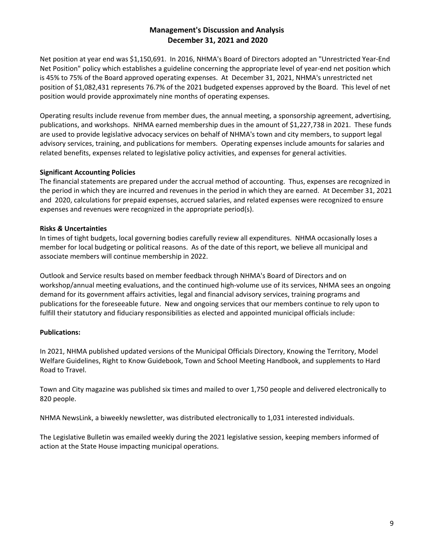Net position at year end was \$1,150,691. In 2016, NHMA's Board of Directors adopted an "Unrestricted Year-End Net Position" policy which establishes a guideline concerning the appropriate level of year-end net position which is 45% to 75% of the Board approved operating expenses. At December 31, 2021, NHMA's unrestricted net position of \$1,082,431 represents 76.7% of the 2021 budgeted expenses approved by the Board. This level of net position would provide approximately nine months of operating expenses.

Operating results include revenue from member dues, the annual meeting, a sponsorship agreement, advertising, publications, and workshops. NHMA earned membership dues in the amount of \$1,227,738 in 2021. These funds are used to provide legislative advocacy services on behalf of NHMA's town and city members, to support legal advisory services, training, and publications for members. Operating expenses include amounts for salaries and related benefits, expenses related to legislative policy activities, and expenses for general activities.

#### **Significant Accounting Policies**

The financial statements are prepared under the accrual method of accounting. Thus, expenses are recognized in the period in which they are incurred and revenues in the period in which they are earned. At December 31, 2021 and 2020, calculations for prepaid expenses, accrued salaries, and related expenses were recognized to ensure expenses and revenues were recognized in the appropriate period(s).

#### **Risks** *&* **Uncertainties**

In times of tight budgets, local governing bodies carefully review all expenditures. NHMA occasionally loses a member for local budgeting or political reasons. As of the date of this report, we believe all municipal and associate members will continue membership in 2022.

Outlook and Service results based on member feedback through NHMA's Board of Directors and on workshop/annual meeting evaluations, and the continued high-volume use of its services, NHMA sees an ongoing demand for its government affairs activities, legal and financial advisory services, training programs and publications for the foreseeable future. New and ongoing services that our members continue to rely upon to fulfill their statutory and fiduciary responsibilities as elected and appointed municipal officials include:

#### **Publications:**

In 2021, NHMA published updated versions of the Municipal Officials Directory, Knowing the Territory, Model Welfare Guidelines, Right to Know Guidebook, Town and School Meeting Handbook, and supplements to Hard Road to Travel.

Town and City magazine was published six times and mailed to over 1,750 people and delivered electronically to 820 people.

NHMA NewsLink, a biweekly newsletter, was distributed electronically to 1,031 interested individuals.

The Legislative Bulletin was emailed weekly during the 2021 legislative session, keeping members informed of action at the State House impacting municipal operations.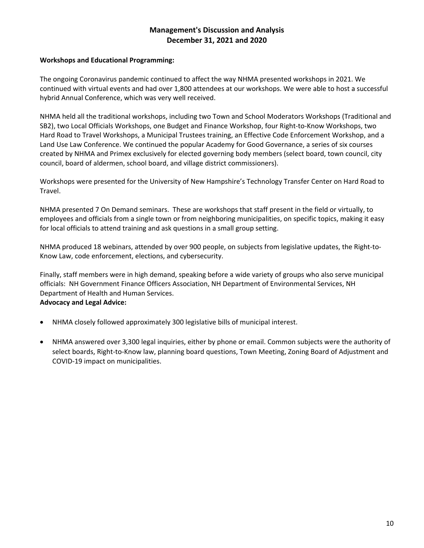#### **Workshops and Educational Programming:**

The ongoing Coronavirus pandemic continued to affect the way NHMA presented workshops in 2021. We continued with virtual events and had over 1,800 attendees at our workshops. We were able to host a successful hybrid Annual Conference, which was very well received.

NHMA held all the traditional workshops, including two Town and School Moderators Workshops (Traditional and SB2), two Local Officials Workshops, one Budget and Finance Workshop, four Right-to-Know Workshops, two Hard Road to Travel Workshops, a Municipal Trustees training, an Effective Code Enforcement Workshop, and a Land Use Law Conference. We continued the popular Academy for Good Governance, a series of six courses created by NHMA and Primex exclusively for elected governing body members (select board, town council, city council, board of aldermen, school board, and village district commissioners).

Workshops were presented for the University of New Hampshire's Technology Transfer Center on Hard Road to Travel.

NHMA presented 7 On Demand seminars. These are workshops that staff present in the field or virtually, to employees and officials from a single town or from neighboring municipalities, on specific topics, making it easy for local officials to attend training and ask questions in a small group setting.

NHMA produced 18 webinars, attended by over 900 people, on subjects from legislative updates, the Right-to-Know Law, code enforcement, elections, and cybersecurity.

Finally, staff members were in high demand, speaking before a wide variety of groups who also serve municipal officials: NH Government Finance Officers Association, NH Department of Environmental Services, NH Department of Health and Human Services. **Advocacy and Legal Advice:** 

- NHMA closely followed approximately 300 legislative bills of municipal interest.
- NHMA answered over 3,300 legal inquiries, either by phone or email. Common subjects were the authority of select boards, Right-to-Know law, planning board questions, Town Meeting, Zoning Board of Adjustment and COVID-19 impact on municipalities.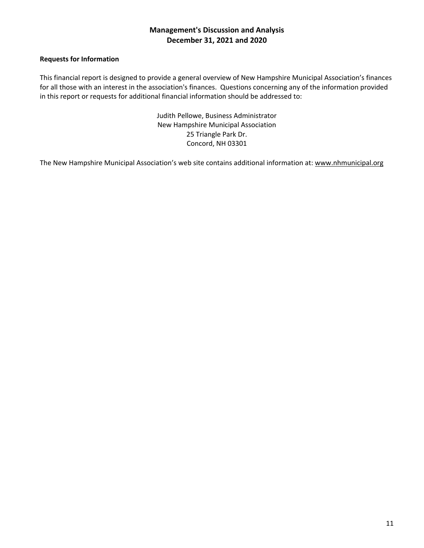#### **Requests for Information**

This financial report is designed to provide a general overview of New Hampshire Municipal Association's finances for all those with an interest in the association's finances. Questions concerning any of the information provided in this report or requests for additional financial information should be addressed to:

> Judith Pellowe, Business Administrator New Hampshire Municipal Association 25 Triangle Park Dr. Concord, NH 03301

The New Hampshire Municipal Association's web site contains additional information at: www.nhmunicipal.org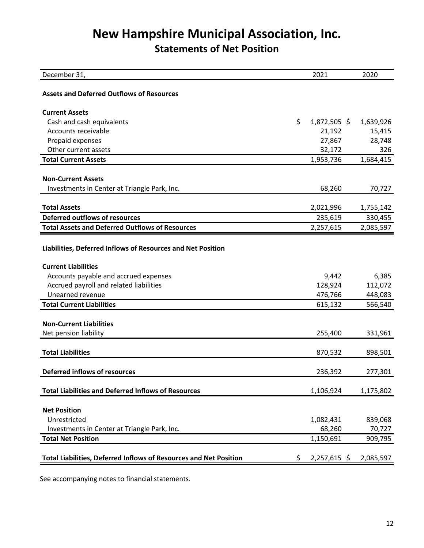### **Statements of Net Position**

| December 31,                                                      | 2021                 | 2020      |
|-------------------------------------------------------------------|----------------------|-----------|
| <b>Assets and Deferred Outflows of Resources</b>                  |                      |           |
|                                                                   |                      |           |
| <b>Current Assets</b>                                             |                      |           |
| Cash and cash equivalents                                         | \$<br>$1,872,505$ \$ | 1,639,926 |
| Accounts receivable                                               | 21,192               | 15,415    |
| Prepaid expenses                                                  | 27,867               | 28,748    |
| Other current assets                                              | 32,172               | 326       |
| <b>Total Current Assets</b>                                       | 1,953,736            | 1,684,415 |
| <b>Non-Current Assets</b>                                         |                      |           |
|                                                                   |                      |           |
| Investments in Center at Triangle Park, Inc.                      | 68,260               | 70,727    |
| <b>Total Assets</b>                                               | 2,021,996            | 1,755,142 |
| <b>Deferred outflows of resources</b>                             | 235,619              | 330,455   |
| <b>Total Assets and Deferred Outflows of Resources</b>            | 2,257,615            | 2,085,597 |
|                                                                   |                      |           |
| Liabilities, Deferred Inflows of Resources and Net Position       |                      |           |
|                                                                   |                      |           |
| <b>Current Liabilities</b>                                        |                      |           |
| Accounts payable and accrued expenses                             | 9,442                | 6,385     |
| Accrued payroll and related liabilities                           | 128,924              | 112,072   |
| Unearned revenue                                                  | 476,766              | 448,083   |
| <b>Total Current Liabilities</b>                                  | 615,132              | 566,540   |
| <b>Non-Current Liabilities</b>                                    |                      |           |
| Net pension liability                                             | 255,400              | 331,961   |
|                                                                   |                      |           |
| <b>Total Liabilities</b>                                          | 870,532              | 898,501   |
|                                                                   |                      |           |
| <b>Deferred inflows of resources</b>                              | 236,392              | 277,301   |
| <b>Total Liabilities and Deferred Inflows of Resources</b>        |                      |           |
|                                                                   | 1,106,924            | 1,175,802 |
| <b>Net Position</b>                                               |                      |           |
| Unrestricted                                                      | 1,082,431            | 839,068   |
| Investments in Center at Triangle Park, Inc.                      | 68,260               | 70,727    |
| <b>Total Net Position</b>                                         | 1,150,691            | 909,795   |
|                                                                   |                      |           |
| Total Liabilities, Deferred Inflows of Resources and Net Position | \$<br>2,257,615 \$   | 2,085,597 |

See accompanying notes to financial statements.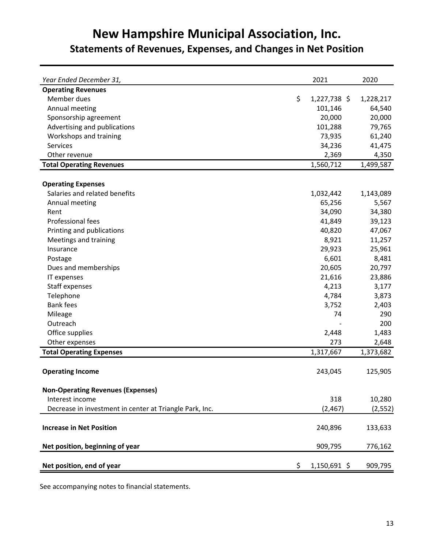### **New Hampshire Municipal Association, Inc. Statements of Revenues, Expenses, and Changes in Net Position**

| Year Ended December 31,                                    | 2021                 | 2020      |
|------------------------------------------------------------|----------------------|-----------|
| <b>Operating Revenues</b>                                  |                      |           |
| Member dues                                                | \$<br>1,227,738 \$   | 1,228,217 |
| Annual meeting                                             | 101,146              | 64,540    |
| Sponsorship agreement                                      | 20,000               | 20,000    |
| Advertising and publications                               | 101,288              | 79,765    |
| Workshops and training                                     | 73,935               | 61,240    |
| <b>Services</b>                                            | 34,236               | 41,475    |
| Other revenue                                              | 2,369                | 4,350     |
| <b>Total Operating Revenues</b>                            | 1,560,712            | 1,499,587 |
|                                                            |                      |           |
| <b>Operating Expenses</b><br>Salaries and related benefits |                      |           |
|                                                            | 1,032,442            | 1,143,089 |
| Annual meeting<br>Rent                                     | 65,256               | 5,567     |
| Professional fees                                          | 34,090<br>41,849     | 34,380    |
|                                                            |                      | 39,123    |
| Printing and publications                                  | 40,820               | 47,067    |
| Meetings and training                                      | 8,921                | 11,257    |
| Insurance                                                  | 29,923               | 25,961    |
| Postage                                                    | 6,601                | 8,481     |
| Dues and memberships                                       | 20,605               | 20,797    |
| IT expenses                                                | 21,616               | 23,886    |
| Staff expenses                                             | 4,213                | 3,177     |
| Telephone                                                  | 4,784                | 3,873     |
| <b>Bank fees</b>                                           | 3,752                | 2,403     |
| Mileage                                                    | 74                   | 290       |
| Outreach                                                   |                      | 200       |
| Office supplies                                            | 2,448                | 1,483     |
| Other expenses                                             | 273                  | 2,648     |
| <b>Total Operating Expenses</b>                            | 1,317,667            | 1,373,682 |
| <b>Operating Income</b>                                    | 243,045              | 125,905   |
| <b>Non-Operating Revenues (Expenses)</b>                   |                      |           |
| Interest income                                            | 318                  | 10,280    |
| Decrease in investment in center at Triangle Park, Inc.    | (2, 467)             | (2, 552)  |
| <b>Increase in Net Position</b>                            | 240,896              | 133,633   |
| Net position, beginning of year                            | 909,795              | 776,162   |
| Net position, end of year                                  | \$<br>$1,150,691$ \$ | 909,795   |

See accompanying notes to financial statements.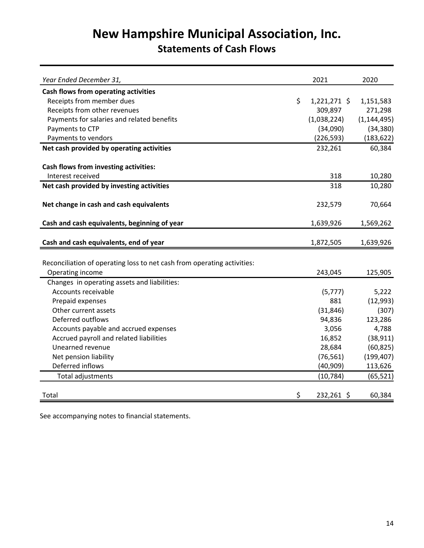### **Statements of Cash Flows**

| Year Ended December 31,                                                 | 2021                 | 2020          |
|-------------------------------------------------------------------------|----------------------|---------------|
| Cash flows from operating activities                                    |                      |               |
| Receipts from member dues                                               | \$<br>$1,221,271$ \$ | 1,151,583     |
| Receipts from other revenues                                            | 309,897              | 271,298       |
| Payments for salaries and related benefits                              | (1,038,224)          | (1, 144, 495) |
| Payments to CTP                                                         | (34,090)             | (34, 380)     |
| Payments to vendors                                                     | (226, 593)           | (183, 622)    |
| Net cash provided by operating activities                               | 232,261              | 60,384        |
| Cash flows from investing activities:                                   |                      |               |
| Interest received                                                       | 318                  | 10,280        |
| Net cash provided by investing activities                               | 318                  | 10,280        |
| Net change in cash and cash equivalents                                 | 232,579              | 70,664        |
| Cash and cash equivalents, beginning of year                            | 1,639,926            | 1,569,262     |
| Cash and cash equivalents, end of year                                  | 1,872,505            | 1,639,926     |
|                                                                         |                      |               |
| Reconciliation of operating loss to net cash from operating activities: |                      |               |
| Operating income                                                        | 243,045              | 125,905       |
| Changes in operating assets and liabilities:                            |                      |               |
| Accounts receivable                                                     | (5, 777)             | 5,222         |
| Prepaid expenses                                                        | 881                  | (12, 993)     |
| Other current assets                                                    | (31, 846)            | (307)         |
| Deferred outflows                                                       | 94,836               | 123,286       |
| Accounts payable and accrued expenses                                   | 3,056                | 4,788         |
| Accrued payroll and related liabilities                                 | 16,852               | (38, 911)     |
| Unearned revenue                                                        | 28,684               | (60, 825)     |
| Net pension liability                                                   | (76, 561)            | (199, 407)    |
| Deferred inflows                                                        | (40, 909)            | 113,626       |
| Total adjustments                                                       | (10, 784)            | (65, 521)     |
| Total                                                                   | \$<br>232,261 \$     | 60,384        |

See accompanying notes to financial statements.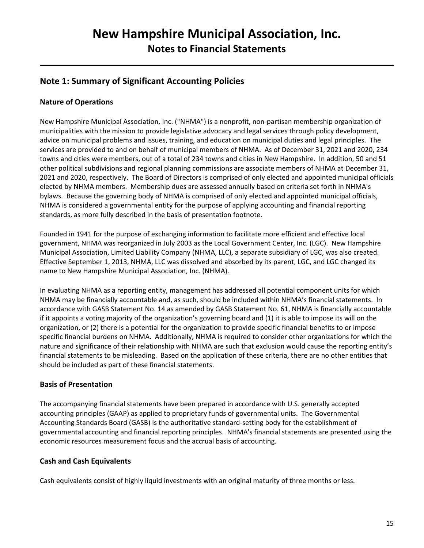#### **Note 1: Summary of Significant Accounting Policies**

#### **Nature of Operations**

New Hampshire Municipal Association, Inc. ("NHMA") is a nonprofit, non-partisan membership organization of municipalities with the mission to provide legislative advocacy and legal services through policy development, advice on municipal problems and issues, training, and education on municipal duties and legal principles. The services are provided to and on behalf of municipal members of NHMA. As of December 31, 2021 and 2020, 234 towns and cities were members, out of a total of 234 towns and cities in New Hampshire. In addition, 50 and 51 other political subdivisions and regional planning commissions are associate members of NHMA at December 31, 2021 and 2020, respectively. The Board of Directors is comprised of only elected and appointed municipal officials elected by NHMA members. Membership dues are assessed annually based on criteria set forth in NHMA's bylaws. Because the governing body of NHMA is comprised of only elected and appointed municipal officials, NHMA is considered a governmental entity for the purpose of applying accounting and financial reporting standards, as more fully described in the basis of presentation footnote.

Founded in 1941 for the purpose of exchanging information to facilitate more efficient and effective local government, NHMA was reorganized in July 2003 as the Local Government Center, Inc. (LGC). New Hampshire Municipal Association, Limited Liability Company (NHMA, LLC), a separate subsidiary of LGC, was also created. Effective September 1, 2013, NHMA, LLC was dissolved and absorbed by its parent, LGC, and LGC changed its name to New Hampshire Municipal Association, Inc. (NHMA).

In evaluating NHMA as a reporting entity, management has addressed all potential component units for which NHMA may be financially accountable and, as such, should be included within NHMA's financial statements. In accordance with GASB Statement No. 14 as amended by GASB Statement No. 61, NHMA is financially accountable if it appoints a voting majority of the organization's governing board and (1) it is able to impose its will on the organization, or (2) there is a potential for the organization to provide specific financial benefits to or impose specific financial burdens on NHMA. Additionally, NHMA is required to consider other organizations for which the nature and significance of their relationship with NHMA are such that exclusion would cause the reporting entity's financial statements to be misleading. Based on the application of these criteria, there are no other entities that should be included as part of these financial statements.

#### **Basis of Presentation**

The accompanying financial statements have been prepared in accordance with U.S. generally accepted accounting principles (GAAP) as applied to proprietary funds of governmental units. The Governmental Accounting Standards Board (GASB) is the authoritative standard-setting body for the establishment of governmental accounting and financial reporting principles. NHMA's financial statements are presented using the economic resources measurement focus and the accrual basis of accounting.

#### **Cash and Cash Equivalents**

Cash equivalents consist of highly liquid investments with an original maturity of three months or less.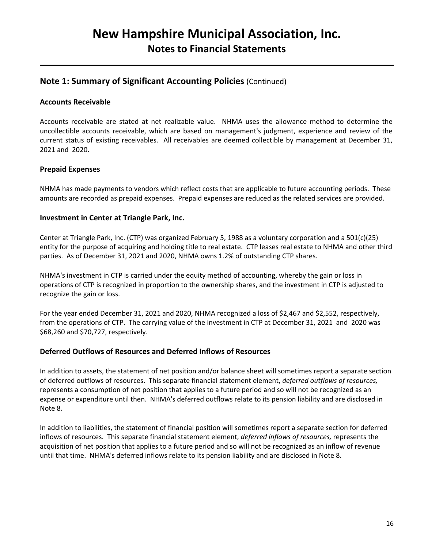#### **Note 1: Summary of Significant Accounting Policies** (Continued)

#### **Accounts Receivable**

Accounts receivable are stated at net realizable value. NHMA uses the allowance method to determine the uncollectible accounts receivable, which are based on management's judgment, experience and review of the current status of existing receivables. All receivables are deemed collectible by management at December 31, 2021 and 2020.

#### **Prepaid Expenses**

NHMA has made payments to vendors which reflect costs that are applicable to future accounting periods. These amounts are recorded as prepaid expenses. Prepaid expenses are reduced as the related services are provided.

#### **Investment in Center at Triangle Park, Inc.**

Center at Triangle Park, Inc. (CTP) was organized February 5, 1988 as a voluntary corporation and a 501(c)(25) entity for the purpose of acquiring and holding title to real estate. CTP leases real estate to NHMA and other third parties. As of December 31, 2021 and 2020, NHMA owns 1.2% of outstanding CTP shares.

NHMA's investment in CTP is carried under the equity method of accounting, whereby the gain or loss in operations of CTP is recognized in proportion to the ownership shares, and the investment in CTP is adjusted to recognize the gain or loss.

For the year ended December 31, 2021 and 2020, NHMA recognized a loss of \$2,467 and \$2,552, respectively, from the operations of CTP. The carrying value of the investment in CTP at December 31, 2021 and 2020 was \$68,260 and \$70,727, respectively.

#### **Deferred Outflows of Resources and Deferred Inflows of Resources**

In addition to assets, the statement of net position and/or balance sheet will sometimes report a separate section of deferred outflows of resources. This separate financial statement element, *deferred outflows of resources,* represents a consumption of net position that applies to a future period and so will not be recognized as an expense or expenditure until then. NHMA's deferred outflows relate to its pension liability and are disclosed in Note 8.

In addition to liabilities, the statement of financial position will sometimes report a separate section for deferred inflows of resources. This separate financial statement element, *deferred inflows of resources,* represents the acquisition of net position that applies to a future period and so will not be recognized as an inflow of revenue until that time. NHMA's deferred inflows relate to its pension liability and are disclosed in Note 8.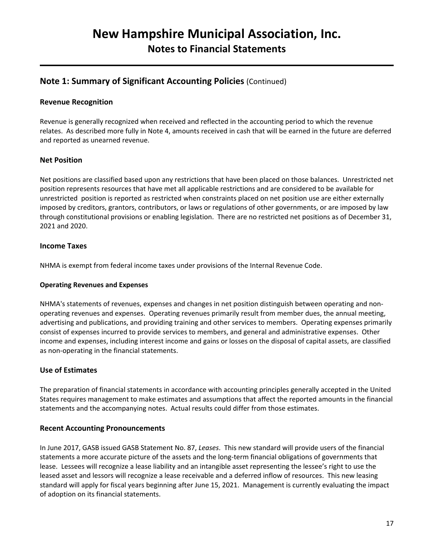#### **Note 1: Summary of Significant Accounting Policies** (Continued)

#### **Revenue Recognition**

Revenue is generally recognized when received and reflected in the accounting period to which the revenue relates. As described more fully in Note 4, amounts received in cash that will be earned in the future are deferred and reported as unearned revenue.

#### **Net Position**

Net positions are classified based upon any restrictions that have been placed on those balances. Unrestricted net position represents resources that have met all applicable restrictions and are considered to be available for unrestricted position is reported as restricted when constraints placed on net position use are either externally imposed by creditors, grantors, contributors, or laws or regulations of other governments, or are imposed by law through constitutional provisions or enabling legislation. There are no restricted net positions as of December 31, 2021 and 2020.

#### **Income Taxes**

NHMA is exempt from federal income taxes under provisions of the Internal Revenue Code.

#### **Operating Revenues and Expenses**

NHMA's statements of revenues, expenses and changes in net position distinguish between operating and nonoperating revenues and expenses. Operating revenues primarily result from member dues, the annual meeting, advertising and publications, and providing training and other services to members. Operating expenses primarily consist of expenses incurred to provide services to members, and general and administrative expenses. Other income and expenses, including interest income and gains or losses on the disposal of capital assets, are classified as non-operating in the financial statements.

#### **Use of Estimates**

The preparation of financial statements in accordance with accounting principles generally accepted in the United States requires management to make estimates and assumptions that affect the reported amounts in the financial statements and the accompanying notes. Actual results could differ from those estimates.

#### **Recent Accounting Pronouncements**

In June 2017, GASB issued GASB Statement No. 87, *Leases*. This new standard will provide users of the financial statements a more accurate picture of the assets and the long-term financial obligations of governments that lease. Lessees will recognize a lease liability and an intangible asset representing the lessee's right to use the leased asset and lessors will recognize a lease receivable and a deferred inflow of resources. This new leasing standard will apply for fiscal years beginning after June 15, 2021. Management is currently evaluating the impact of adoption on its financial statements.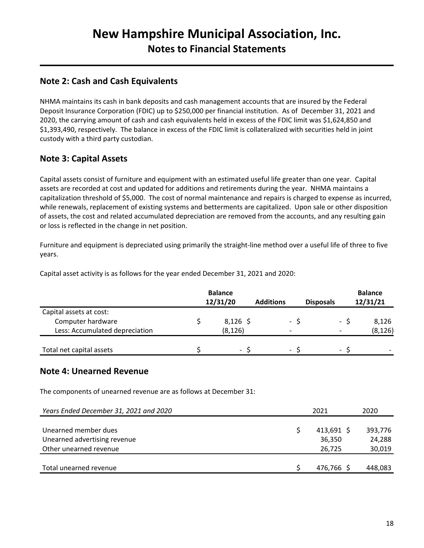#### **Note 2: Cash and Cash Equivalents**

NHMA maintains its cash in bank deposits and cash management accounts that are insured by the Federal Deposit Insurance Corporation (FDIC) up to \$250,000 per financial institution. As of December 31, 2021 and 2020, the carrying amount of cash and cash equivalents held in excess of the FDIC limit was \$1,624,850 and \$1,393,490, respectively. The balance in excess of the FDIC limit is collateralized with securities held in joint custody with a third party custodian.

#### **Note 3: Capital Assets**

Capital assets consist of furniture and equipment with an estimated useful life greater than one year. Capital assets are recorded at cost and updated for additions and retirements during the year. NHMA maintains a capitalization threshold of \$5,000. The cost of normal maintenance and repairs is charged to expense as incurred, while renewals, replacement of existing systems and betterments are capitalized. Upon sale or other disposition of assets, the cost and related accumulated depreciation are removed from the accounts, and any resulting gain or loss is reflected in the change in net position.

Furniture and equipment is depreciated using primarily the straight-line method over a useful life of three to five years.

Capital asset activity is as follows for the year ended December 31, 2021 and 2020:

|                                | <b>Balance</b><br>12/31/20 | <b>Additions</b> | <b>Disposals</b>         | <b>Balance</b><br>12/31/21 |
|--------------------------------|----------------------------|------------------|--------------------------|----------------------------|
| Capital assets at cost:        |                            |                  |                          |                            |
| Computer hardware              | $8,126$ \$                 | - S              | - S                      | 8,126                      |
| Less: Accumulated depreciation | (8, 126)                   |                  | $\overline{\phantom{a}}$ | (8, 126)                   |
| Total net capital assets       | $\sim$                     | - S              | - S                      |                            |

#### **Note 4: Unearned Revenue**

The components of unearned revenue are as follows at December 31:

| Years Ended December 31, 2021 and 2020 | 2021         | 2020    |
|----------------------------------------|--------------|---------|
|                                        |              |         |
| Unearned member dues                   | $413,691$ \$ | 393,776 |
| Unearned advertising revenue           | 36,350       | 24,288  |
| Other unearned revenue                 | 26,725       | 30,019  |
|                                        |              |         |
| Total unearned revenue                 | 476.766 S    | 448,083 |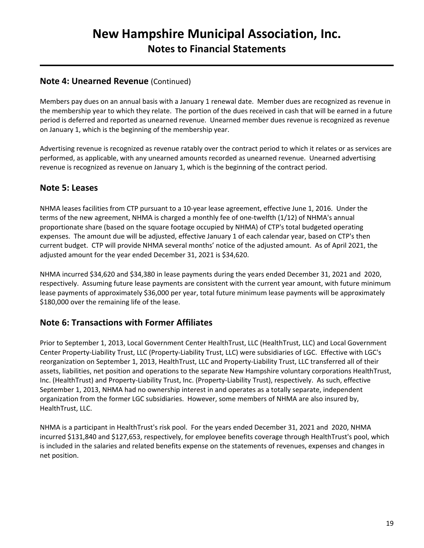#### **Note 4: Unearned Revenue** (Continued)

Members pay dues on an annual basis with a January 1 renewal date. Member dues are recognized as revenue in the membership year to which they relate. The portion of the dues received in cash that will be earned in a future period is deferred and reported as unearned revenue. Unearned member dues revenue is recognized as revenue on January 1, which is the beginning of the membership year.

Advertising revenue is recognized as revenue ratably over the contract period to which it relates or as services are performed, as applicable, with any unearned amounts recorded as unearned revenue. Unearned advertising revenue is recognized as revenue on January 1, which is the beginning of the contract period.

#### **Note 5: Leases**

NHMA leases facilities from CTP pursuant to a 10-year lease agreement, effective June 1, 2016. Under the terms of the new agreement, NHMA is charged a monthly fee of one-twelfth (1/12) of NHMA's annual proportionate share (based on the square footage occupied by NHMA) of CTP's total budgeted operating expenses. The amount due will be adjusted, effective January 1 of each calendar year, based on CTP's then current budget. CTP will provide NHMA several months' notice of the adjusted amount. As of April 2021, the adjusted amount for the year ended December 31, 2021 is \$34,620.

NHMA incurred \$34,620 and \$34,380 in lease payments during the years ended December 31, 2021 and 2020, respectively. Assuming future lease payments are consistent with the current year amount, with future minimum lease payments of approximately \$36,000 per year, total future minimum lease payments will be approximately \$180,000 over the remaining life of the lease.

#### **Note 6: Transactions with Former Affiliates**

Prior to September 1, 2013, Local Government Center HealthTrust, LLC (HealthTrust, LLC) and Local Government Center Property-Liability Trust, LLC (Property-Liability Trust, LLC) were subsidiaries of LGC. Effective with LGC's reorganization on September 1, 2013, HealthTrust, LLC and Property-Liability Trust, LLC transferred all of their assets, liabilities, net position and operations to the separate New Hampshire voluntary corporations HealthTrust, Inc. (HealthTrust) and Property-Liability Trust, Inc. (Property-Liability Trust), respectively. As such, effective September 1, 2013, NHMA had no ownership interest in and operates as a totally separate, independent organization from the former LGC subsidiaries. However, some members of NHMA are also insured by, HealthTrust, LLC.

NHMA is a participant in HealthTrust's risk pool. For the years ended December 31, 2021 and 2020, NHMA incurred \$131,840 and \$127,653, respectively, for employee benefits coverage through HealthTrust's pool, which is included in the salaries and related benefits expense on the statements of revenues, expenses and changes in net position.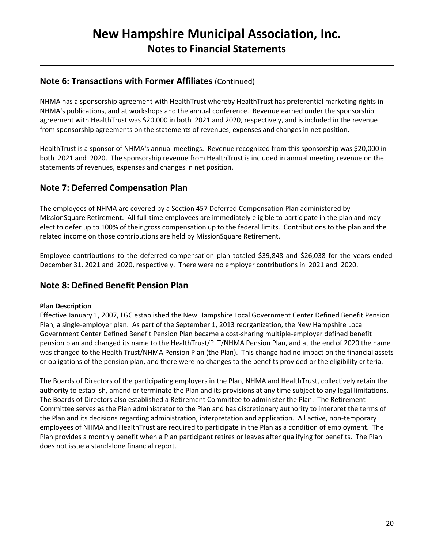#### **Note 6: Transactions with Former Affiliates** (Continued)

NHMA has a sponsorship agreement with HealthTrust whereby HealthTrust has preferential marketing rights in NHMA's publications, and at workshops and the annual conference. Revenue earned under the sponsorship agreement with HealthTrust was \$20,000 in both 2021 and 2020, respectively, and is included in the revenue from sponsorship agreements on the statements of revenues, expenses and changes in net position.

HealthTrust is a sponsor of NHMA's annual meetings. Revenue recognized from this sponsorship was \$20,000 in both 2021 and 2020. The sponsorship revenue from HealthTrust is included in annual meeting revenue on the statements of revenues, expenses and changes in net position.

#### **Note 7: Deferred Compensation Plan**

The employees of NHMA are covered by a Section 457 Deferred Compensation Plan administered by MissionSquare Retirement. All full-time employees are immediately eligible to participate in the plan and may elect to defer up to 100% of their gross compensation up to the federal limits. Contributions to the plan and the related income on those contributions are held by MissionSquare Retirement.

Employee contributions to the deferred compensation plan totaled \$39,848 and \$26,038 for the years ended December 31, 2021 and 2020, respectively. There were no employer contributions in 2021 and 2020.

#### **Note 8: Defined Benefit Pension Plan**

#### **Plan Description**

Effective January 1, 2007, LGC established the New Hampshire Local Government Center Defined Benefit Pension Plan, a single-employer plan. As part of the September 1, 2013 reorganization, the New Hampshire Local Government Center Defined Benefit Pension Plan became a cost-sharing multiple-employer defined benefit pension plan and changed its name to the HealthTrust/PLT/NHMA Pension Plan, and at the end of 2020 the name was changed to the Health Trust/NHMA Pension Plan (the Plan). This change had no impact on the financial assets or obligations of the pension plan, and there were no changes to the benefits provided or the eligibility criteria.

The Boards of Directors of the participating employers in the Plan, NHMA and HealthTrust, collectively retain the authority to establish, amend or terminate the Plan and its provisions at any time subject to any legal limitations. The Boards of Directors also established a Retirement Committee to administer the Plan. The Retirement Committee serves as the Plan administrator to the Plan and has discretionary authority to interpret the terms of the Plan and its decisions regarding administration, interpretation and application. All active, non-temporary employees of NHMA and HealthTrust are required to participate in the Plan as a condition of employment. The Plan provides a monthly benefit when a Plan participant retires or leaves after qualifying for benefits. The Plan does not issue a standalone financial report.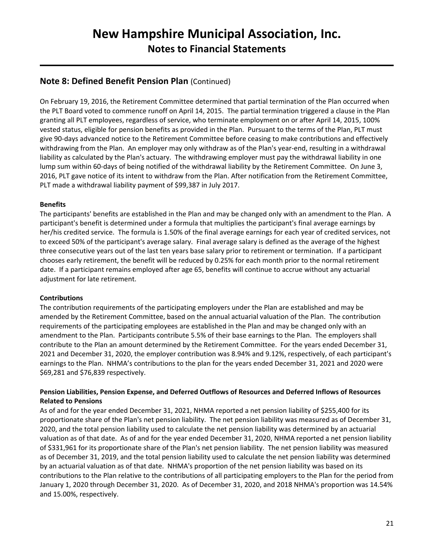#### **Note 8: Defined Benefit Pension Plan** (Continued)

On February 19, 2016, the Retirement Committee determined that partial termination of the Plan occurred when the PLT Board voted to commence runoff on April 14, 2015. The partial termination triggered a clause in the Plan granting all PLT employees, regardless of service, who terminate employment on or after April 14, 2015, 100% vested status, eligible for pension benefits as provided in the Plan. Pursuant to the terms of the Plan, PLT must give 90-days advanced notice to the Retirement Committee before ceasing to make contributions and effectively withdrawing from the Plan. An employer may only withdraw as of the Plan's year-end, resulting in a withdrawal liability as calculated by the Plan's actuary. The withdrawing employer must pay the withdrawal liability in one lump sum within 60-days of being notified of the withdrawal liability by the Retirement Committee. On June 3, 2016, PLT gave notice of its intent to withdraw from the Plan. After notification from the Retirement Committee, PLT made a withdrawal liability payment of \$99,387 in July 2017.

#### **Benefits**

The participants' benefits are established in the Plan and may be changed only with an amendment to the Plan. A participant's benefit is determined under a formula that multiplies the participant's final average earnings by her/his credited service. The formula is 1.50% of the final average earnings for each year of credited services, not to exceed 50% of the participant's average salary. Final average salary is defined as the average of the highest three consecutive years out of the last ten years base salary prior to retirement or termination. If a participant chooses early retirement, the benefit will be reduced by 0.25% for each month prior to the normal retirement date. If a participant remains employed after age 65, benefits will continue to accrue without any actuarial adjustment for late retirement.

#### **Contributions**

The contribution requirements of the participating employers under the Plan are established and may be amended by the Retirement Committee, based on the annual actuarial valuation of the Plan. The contribution requirements of the participating employees are established in the Plan and may be changed only with an amendment to the Plan. Participants contribute 5.5% of their base earnings to the Plan. The employers shall contribute to the Plan an amount determined by the Retirement Committee. For the years ended December 31, 2021 and December 31, 2020, the employer contribution was 8.94% and 9.12%, respectively, of each participant's earnings to the Plan. NHMA's contributions to the plan for the years ended December 31, 2021 and 2020 were \$69,281 and \$76,839 respectively.

#### **Pension Liabilities, Pension Expense, and Deferred Outflows of Resources and Deferred Inflows of Resources Related to Pensions**

As of and for the year ended December 31, 2021, NHMA reported a net pension liability of \$255,400 for its proportionate share of the Plan's net pension liability. The net pension liability was measured as of December 31, 2020, and the total pension liability used to calculate the net pension liability was determined by an actuarial valuation as of that date. As of and for the year ended December 31, 2020, NHMA reported a net pension liability of \$331,961 for its proportionate share of the Plan's net pension liability. The net pension liability was measured as of December 31, 2019, and the total pension liability used to calculate the net pension liability was determined by an actuarial valuation as of that date. NHMA's proportion of the net pension liability was based on its contributions to the Plan relative to the contributions of all participating employers to the Plan for the period from January 1, 2020 through December 31, 2020. As of December 31, 2020, and 2018 NHMA's proportion was 14.54% and 15.00%, respectively.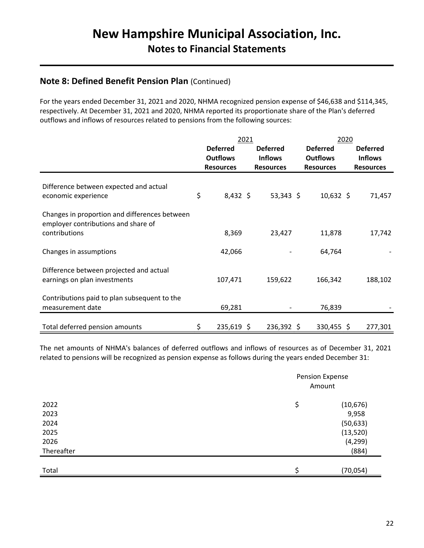#### **Note 8: Defined Benefit Pension Plan** (Continued)

For the years ended December 31, 2021 and 2020, NHMA recognized pension expense of \$46,638 and \$114,345, respectively. At December 31, 2021 and 2020, NHMA reported its proportionate share of the Plan's deferred outflows and inflows of resources related to pensions from the following sources:

|                                                                                                       | 2021 |                  | 2020             |                  |  |                  |
|-------------------------------------------------------------------------------------------------------|------|------------------|------------------|------------------|--|------------------|
|                                                                                                       |      | <b>Deferred</b>  | <b>Deferred</b>  | <b>Deferred</b>  |  | <b>Deferred</b>  |
|                                                                                                       |      | <b>Outflows</b>  | <b>Inflows</b>   | <b>Outflows</b>  |  | <b>Inflows</b>   |
|                                                                                                       |      | <b>Resources</b> | <b>Resources</b> | <b>Resources</b> |  | <b>Resources</b> |
| Difference between expected and actual<br>economic experience                                         | \$   | $8,432$ \$       | $53,343$ \$      | $10,632$ \$      |  | 71,457           |
| Changes in proportion and differences between<br>employer contributions and share of<br>contributions |      | 8,369            | 23,427           | 11,878           |  | 17,742           |
| Changes in assumptions                                                                                |      | 42,066           |                  | 64,764           |  |                  |
| Difference between projected and actual<br>earnings on plan investments                               |      | 107,471          | 159,622          | 166,342          |  | 188,102          |
| Contributions paid to plan subsequent to the<br>measurement date                                      |      | 69,281           |                  | 76,839           |  |                  |
| Total deferred pension amounts                                                                        | \$   | 235,619 \$       | 236,392 \$       | 330,455 \$       |  | 277,301          |

The net amounts of NHMA's balances of deferred outflows and inflows of resources as of December 31, 2021 related to pensions will be recognized as pension expense as follows during the years ended December 31:

|            |    | <b>Pension Expense</b><br>Amount |
|------------|----|----------------------------------|
| 2022       | \$ | (10, 676)                        |
| 2023       |    | 9,958                            |
| 2024       |    | (50, 633)                        |
| 2025       |    | (13,520)                         |
| 2026       |    | (4, 299)                         |
| Thereafter |    | (884)                            |
|            |    |                                  |
| Total      | ς  | (70, 054)                        |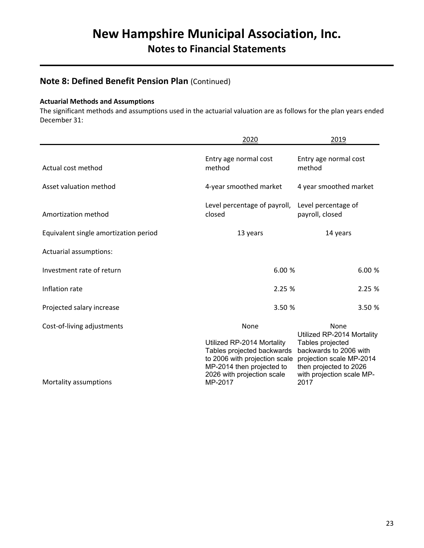#### **Note 8: Defined Benefit Pension Plan** (Continued)

#### **Actuarial Methods and Assumptions**

The significant methods and assumptions used in the actuarial valuation are as follows for the plan years ended December 31:

|                                                     | 2020                                                                                                                                                                    | 2019                                                                                                                                                                        |  |
|-----------------------------------------------------|-------------------------------------------------------------------------------------------------------------------------------------------------------------------------|-----------------------------------------------------------------------------------------------------------------------------------------------------------------------------|--|
| Actual cost method                                  | Entry age normal cost<br>method                                                                                                                                         | Entry age normal cost<br>method                                                                                                                                             |  |
| Asset valuation method                              | 4-year smoothed market                                                                                                                                                  | 4 year smoothed market                                                                                                                                                      |  |
| Amortization method                                 | Level percentage of payroll,<br>closed                                                                                                                                  | Level percentage of<br>payroll, closed                                                                                                                                      |  |
| Equivalent single amortization period               | 13 years                                                                                                                                                                | 14 years                                                                                                                                                                    |  |
| Actuarial assumptions:                              |                                                                                                                                                                         |                                                                                                                                                                             |  |
| Investment rate of return                           | 6.00%                                                                                                                                                                   | 6.00 %                                                                                                                                                                      |  |
| Inflation rate                                      | 2.25 %                                                                                                                                                                  | 2.25 %                                                                                                                                                                      |  |
| Projected salary increase                           | 3.50 %                                                                                                                                                                  | 3.50 %                                                                                                                                                                      |  |
| Cost-of-living adjustments<br>Mortality assumptions | None<br>Utilized RP-2014 Mortality<br>Tables projected backwards<br>to 2006 with projection scale<br>MP-2014 then projected to<br>2026 with projection scale<br>MP-2017 | None<br>Utilized RP-2014 Mortality<br>Tables projected<br>backwards to 2006 with<br>projection scale MP-2014<br>then projected to 2026<br>with projection scale MP-<br>2017 |  |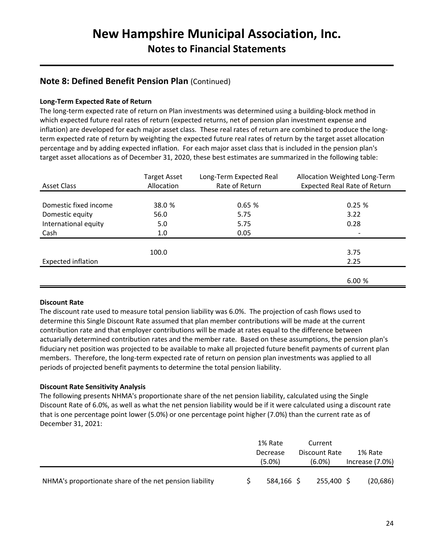#### **Note 8: Defined Benefit Pension Plan** (Continued)

#### **Long-Term Expected Rate of Return**

The long-term expected rate of return on Plan investments was determined using a building-block method in which expected future real rates of return (expected returns, net of pension plan investment expense and inflation) are developed for each major asset class. These real rates of return are combined to produce the longterm expected rate of return by weighting the expected future real rates of return by the target asset allocation percentage and by adding expected inflation. For each major asset class that is included in the pension plan's target asset allocations as of December 31, 2020, these best estimates are summarized in the following table:

| <b>Asset Class</b>        | <b>Target Asset</b><br>Allocation | Long-Term Expected Real<br>Rate of Return | Allocation Weighted Long-Term<br><b>Expected Real Rate of Return</b> |
|---------------------------|-----------------------------------|-------------------------------------------|----------------------------------------------------------------------|
| Domestic fixed income     | 38.0 %                            | 0.65%                                     | 0.25%                                                                |
| Domestic equity           | 56.0                              | 5.75                                      | 3.22                                                                 |
| International equity      | 5.0                               | 5.75                                      | 0.28                                                                 |
| Cash                      | 1.0                               | 0.05                                      | $\overline{\phantom{a}}$                                             |
| <b>Expected inflation</b> | 100.0                             |                                           | 3.75<br>2.25                                                         |
|                           |                                   |                                           |                                                                      |
|                           |                                   |                                           | 6.00 %                                                               |

#### **Discount Rate**

The discount rate used to measure total pension liability was 6.0%. The projection of cash flows used to determine this Single Discount Rate assumed that plan member contributions will be made at the current contribution rate and that employer contributions will be made at rates equal to the difference between actuarially determined contribution rates and the member rate. Based on these assumptions, the pension plan's fiduciary net position was projected to be available to make all projected future benefit payments of current plan members. Therefore, the long-term expected rate of return on pension plan investments was applied to all periods of projected benefit payments to determine the total pension liability.

#### **Discount Rate Sensitivity Analysis**

The following presents NHMA's proportionate share of the net pension liability, calculated using the Single Discount Rate of 6.0%, as well as what the net pension liability would be if it were calculated using a discount rate that is one percentage point lower (5.0%) or one percentage point higher (7.0%) than the current rate as of December 31, 2021:

|                                                         | 1% Rate<br>Decrease | Current<br>Discount Rate | 1% Rate           |
|---------------------------------------------------------|---------------------|--------------------------|-------------------|
|                                                         | (5.0%)              | $(6.0\%)$                | Increase $(7.0%)$ |
| NHMA's proportionate share of the net pension liability | 584,166 \$          | 255,400 \$               | (20, 686)         |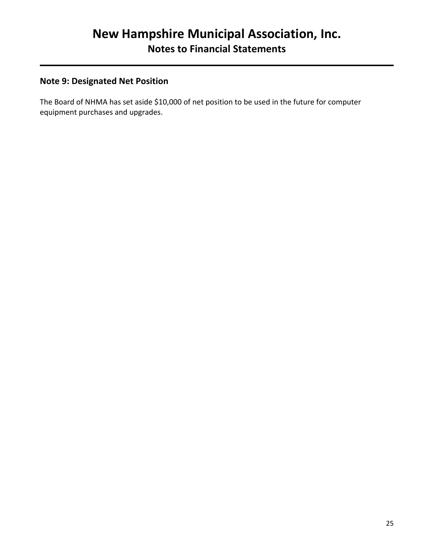#### **Note 9: Designated Net Position**

The Board of NHMA has set aside \$10,000 of net position to be used in the future for computer equipment purchases and upgrades.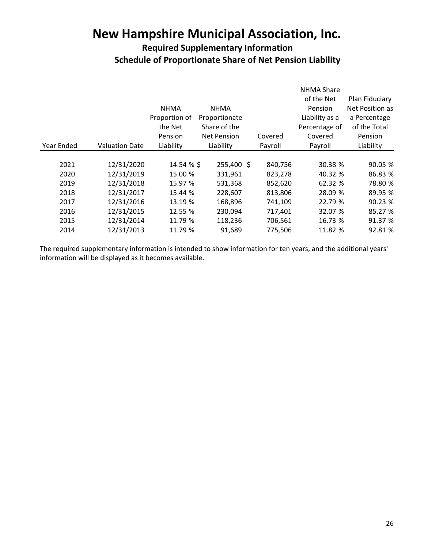#### **Required Supplementary Information Schedule of Proportionate Share of Net Pension Liability**

|            |                       |               |               |         | <b>NHMA Share</b> |                 |
|------------|-----------------------|---------------|---------------|---------|-------------------|-----------------|
|            |                       |               |               |         | of the Net        | Plan Fiduciary  |
|            |                       | <b>NHMA</b>   | <b>NHMA</b>   |         | Pension           | Net Position as |
|            |                       | Proportion of | Proportionate |         | Liability as a    | a Percentage    |
|            |                       | the Net       | Share of the  |         | Percentage of     | of the Total    |
|            |                       | Pension       | Net Pension   | Covered | Covered           | Pension         |
| Year Ended | <b>Valuation Date</b> | Liability     | Liability     | Payroll | Payroll           | Liability       |
|            |                       |               |               |         |                   |                 |
| 2021       | 12/31/2020            | 14.54 % \$    | 255,400 \$    | 840,756 | 30.38 %           | 90.05 %         |
| 2020       | 12/31/2019            | 15.00 %       | 331,961       | 823,278 | 40.32 %           | 86.83 %         |
| 2019       | 12/31/2018            | 15.97 %       | 531,368       | 852,620 | 62.32 %           | 78.80 %         |
| 2018       | 12/31/2017            | 15.44 %       | 228,607       | 813,806 | 28.09 %           | 89.95 %         |
| 2017       | 12/31/2016            | 13.19 %       | 168,896       | 741,109 | 22.79 %           | 90.23 %         |
| 2016       | 12/31/2015            | 12.55 %       | 230,094       | 717,401 | 32.07 %           | 85.27 %         |
| 2015       | 12/31/2014            | 11.79 %       | 118,236       | 706,561 | 16.73 %           | 91.37 %         |
| 2014       | 12/31/2013            | 11.79 %       | 91,689        | 775,506 | 11.82 %           | 92.81 %         |

The required supplementary information is intended to show information for ten years, and the additional years' information will be displayed as it becomes available.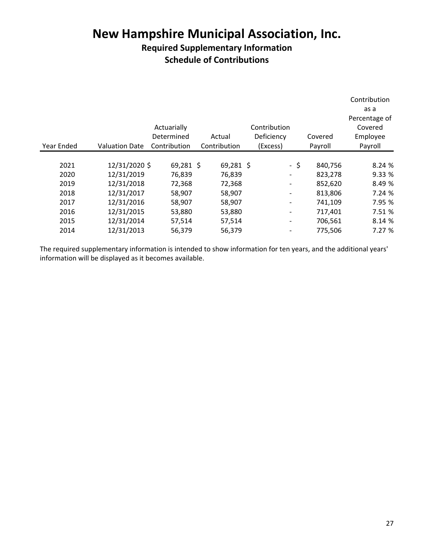### **Required Supplementary Information Schedule of Contributions**

| Year Ended | <b>Valuation Date</b> | Actuarially<br>Determined<br>Contribution | Actual<br>Contribution | Contribution<br>Deficiency<br>(Excess) | Covered<br>Payroll | Contribution<br>as a<br>Percentage of<br>Covered<br>Employee<br>Payroll |
|------------|-----------------------|-------------------------------------------|------------------------|----------------------------------------|--------------------|-------------------------------------------------------------------------|
|            |                       |                                           |                        |                                        |                    |                                                                         |
| 2021       | 12/31/2020 \$         | $69,281$ \$                               | $69,281$ \$            | - \$                                   | 840,756            | 8.24 %                                                                  |
| 2020       | 12/31/2019            | 76,839                                    | 76,839                 | $\overline{\phantom{a}}$               | 823,278            | 9.33%                                                                   |
| 2019       | 12/31/2018            | 72,368                                    | 72,368                 |                                        | 852,620            | 8.49 %                                                                  |
| 2018       | 12/31/2017            | 58,907                                    | 58,907                 | $\overline{\phantom{a}}$               | 813,806            | 7.24%                                                                   |
| 2017       | 12/31/2016            | 58,907                                    | 58,907                 |                                        | 741,109            | 7.95 %                                                                  |
| 2016       | 12/31/2015            | 53,880                                    | 53,880                 | $\overline{\phantom{a}}$               | 717,401            | 7.51 %                                                                  |
| 2015       | 12/31/2014            | 57,514                                    | 57,514                 | $\overline{\phantom{a}}$               | 706,561            | 8.14 %                                                                  |
| 2014       | 12/31/2013            | 56,379                                    | 56,379                 |                                        | 775,506            | 7.27 %                                                                  |

The required supplementary information is intended to show information for ten years, and the additional years' information will be displayed as it becomes available.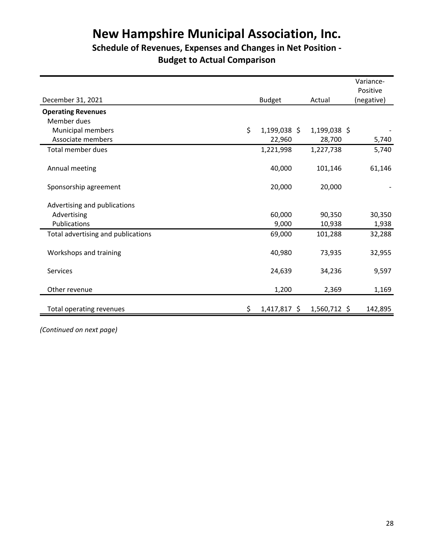### **Schedule of Revenues, Expenses and Changes in Net Position - Budget to Actual Comparison**

|                                    |                    |              | Variance-<br>Positive |
|------------------------------------|--------------------|--------------|-----------------------|
| December 31, 2021                  | <b>Budget</b>      | Actual       | (negative)            |
| <b>Operating Revenues</b>          |                    |              |                       |
| Member dues                        |                    |              |                       |
| Municipal members                  | \$<br>1,199,038 \$ | 1,199,038 \$ |                       |
| Associate members                  | 22,960             | 28,700       | 5,740                 |
| <b>Total member dues</b>           | 1,221,998          | 1,227,738    | 5,740                 |
| Annual meeting                     | 40,000             | 101,146      | 61,146                |
|                                    |                    |              |                       |
| Sponsorship agreement              | 20,000             | 20,000       |                       |
| Advertising and publications       |                    |              |                       |
| Advertising                        | 60,000             | 90,350       | 30,350                |
| Publications                       | 9,000              | 10,938       | 1,938                 |
| Total advertising and publications | 69,000             | 101,288      | 32,288                |
| Workshops and training             | 40,980             | 73,935       | 32,955                |
| <b>Services</b>                    | 24,639             | 34,236       | 9,597                 |
| Other revenue                      | 1,200              | 2,369        | 1,169                 |
| Total operating revenues           | \$<br>1,417,817 \$ | 1,560,712 \$ | 142,895               |

*(Continued on next page)*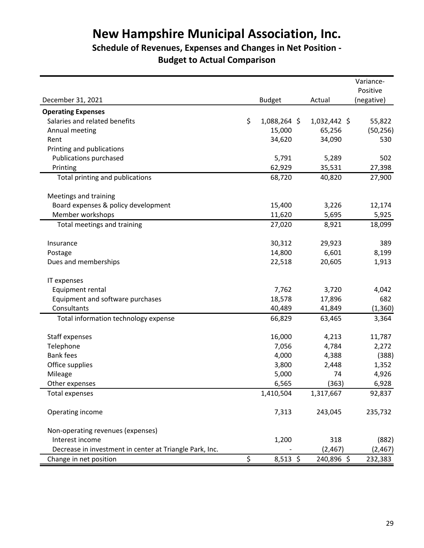### **Schedule of Revenues, Expenses and Changes in Net Position - Budget to Actual Comparison**

|                                                         |                    |                | Variance-  |
|---------------------------------------------------------|--------------------|----------------|------------|
| December 31, 2021                                       |                    | Actual         | Positive   |
|                                                         | <b>Budget</b>      |                | (negative) |
| <b>Operating Expenses</b>                               |                    |                |            |
| Salaries and related benefits                           | \$<br>1,088,264 \$ | $1,032,442$ \$ | 55,822     |
| Annual meeting                                          | 15,000             | 65,256         | (50, 256)  |
| Rent                                                    | 34,620             | 34,090         | 530        |
| Printing and publications                               |                    |                |            |
| <b>Publications purchased</b>                           | 5,791              | 5,289          | 502        |
| Printing                                                | 62,929             | 35,531         | 27,398     |
| Total printing and publications                         | 68,720             | 40,820         | 27,900     |
| Meetings and training                                   |                    |                |            |
| Board expenses & policy development                     | 15,400             | 3,226          | 12,174     |
| Member workshops                                        | 11,620             | 5,695          | 5,925      |
| Total meetings and training                             | 27,020             | 8,921          | 18,099     |
| Insurance                                               | 30,312             | 29,923         | 389        |
| Postage                                                 | 14,800             | 6,601          | 8,199      |
| Dues and memberships                                    | 22,518             | 20,605         | 1,913      |
| IT expenses                                             |                    |                |            |
| Equipment rental                                        | 7,762              | 3,720          | 4,042      |
| Equipment and software purchases                        | 18,578             | 17,896         | 682        |
| Consultants                                             | 40,489             | 41,849         | (1, 360)   |
| Total information technology expense                    | 66,829             | 63,465         | 3,364      |
| Staff expenses                                          | 16,000             | 4,213          | 11,787     |
| Telephone                                               | 7,056              | 4,784          | 2,272      |
| <b>Bank fees</b>                                        | 4,000              | 4,388          | (388)      |
| Office supplies                                         | 3,800              | 2,448          | 1,352      |
| Mileage                                                 | 5,000              | 74             | 4,926      |
| Other expenses                                          | 6,565              | (363)          | 6,928      |
| Total expenses                                          | 1,410,504          | 1,317,667      | 92,837     |
| Operating income                                        | 7,313              | 243,045        | 235,732    |
| Non-operating revenues (expenses)                       |                    |                |            |
| Interest income                                         | 1,200              | 318            | (882)      |
| Decrease in investment in center at Triangle Park, Inc. |                    | (2, 467)       | (2, 467)   |
| Change in net position                                  | \$<br>$8,513$ \$   | 240,896 \$     | 232,383    |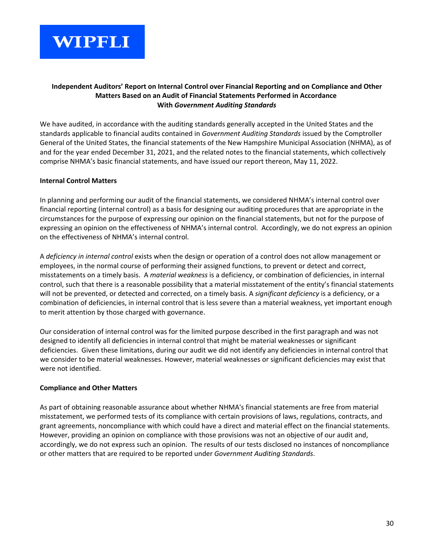

#### **Independent Auditors' Report on Internal Control over Financial Reporting and on Compliance and Other Matters Based on an Audit of Financial Statements Performed in Accordance With** *Government Auditing Standards*

We have audited, in accordance with the auditing standards generally accepted in the United States and the standards applicable to financial audits contained in *Government Auditing Standards* issued by the Comptroller General of the United States, the financial statements of the New Hampshire Municipal Association (NHMA), as of and for the year ended December 31, 2021, and the related notes to the financial statements, which collectively comprise NHMA's basic financial statements, and have issued our report thereon, May 11, 2022.

#### **Internal Control Matters**

In planning and performing our audit of the financial statements, we considered NHMA's internal control over financial reporting (internal control) as a basis for designing our auditing procedures that are appropriate in the circumstances for the purpose of expressing our opinion on the financial statements, but not for the purpose of expressing an opinion on the effectiveness of NHMA's internal control. Accordingly, we do not express an opinion on the effectiveness of NHMA's internal control.

A *deficiency in internal control* exists when the design or operation of a control does not allow management or employees, in the normal course of performing their assigned functions, to prevent or detect and correct, misstatements on a timely basis. A *material weakness* is a deficiency, or combination of deficiencies, in internal control, such that there is a reasonable possibility that a material misstatement of the entity's financial statements will not be prevented, or detected and corrected, on a timely basis. A *significant deficiency* is a deficiency, or a combination of deficiencies, in internal control that is less severe than a material weakness, yet important enough to merit attention by those charged with governance.

Our consideration of internal control was for the limited purpose described in the first paragraph and was not designed to identify all deficiencies in internal control that might be material weaknesses or significant deficiencies. Given these limitations, during our audit we did not identify any deficiencies in internal control that we consider to be material weaknesses. However, material weaknesses or significant deficiencies may exist that were not identified.

#### **Compliance and Other Matters**

As part of obtaining reasonable assurance about whether NHMA's financial statements are free from material misstatement, we performed tests of its compliance with certain provisions of laws, regulations, contracts, and grant agreements, noncompliance with which could have a direct and material effect on the financial statements. However, providing an opinion on compliance with those provisions was not an objective of our audit and, accordingly, we do not express such an opinion. The results of our tests disclosed no instances of noncompliance or other matters that are required to be reported under *Government Auditing Standards*.